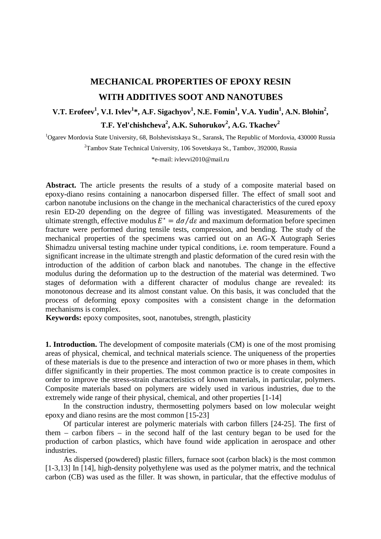# **MECHANICAL PROPERTIES OF EPOXY RESIN WITH ADDITIVES SOOT AND NANOTUBES**

## **V.T. Erofeev<sup>1</sup>, V.I. Ivlev<sup>1</sup>\*, A.F. Sigachyov<sup>1</sup>, N.E. Fomin<sup>1</sup>, V.A. Yudin<sup>1</sup>, A.N. Blohin<sup>2</sup>,**  $\mathbf{T}.\mathbf{F}.$  Yel'chishcheva<sup>2</sup>, A.K. Suhorukov<sup>2</sup>, A.G. Tkachev<sup>2</sup>

<sup>1</sup>Ogarev Mordovia State University, 68, Bolshevistskaya St., Saransk, The Republic of Mordovia, 430000 Russia

<sup>2</sup>Tambov State Technical University, 106 Sovetskaya St., Tambov, 392000, Russia

\*e-mail: ivlevvi2010@mail.ru

Abstract. The article presents the results of a study of a composite material based on epoxy-diano resins containing a nanocarbon dispersed filler. The effect of small soot and carbon nanotube inclusions on the change in the mechanical characteristics of the cured epoxy resin ED-20 depending on the degree of filling was investigated. Measurements of the ultimate strength, effective modulus  $E^* = d\sigma/d\varepsilon$  and maximum deformation before specimen fracture were performed during tensile tests, compression, and bending. The study of the mechanical properties of the specimens was carried out on an AG-X Autograph Series Shimadzu universal testing machine under typical conditions, i.e. room temperature. Found a significant increase in the ultimate strength and plastic deformation of the cured resin with the introduction of the addition of carbon black and nanotubes. The change in the effective modulus during the deformation up to the destruction of the material was determined. Two stages of deformation with a different character of modulus change are revealed: its monotonous decrease and its almost constant value. On this basis, it was concluded that the process of deforming epoxy composites with a consistent change in the deformation mechanisms is complex.

**Keywords:** epoxy composites, soot, nanotubes, strength, plasticity

**1. Introduction.** The development of composite materials (CM) is one of the most promising areas of physical, chemical, and technical materials science. The uniqueness of the properties of these materials is due to the presence and interaction of two or more phases in them, which differ significantly in their properties. The most common practice is to create composites in order to improve the stress-strain characteristics of known materials, in particular, polymers. Composite materials based on polymers are widely used in various industries, due to the extremely wide range of their physical, chemical, and other properties [1-14]

In the construction industry, thermosetting polymers based on low molecular weight epoxy and diano resins are the most common [15-23]

Of particular interest are polymeric materials with carbon fillers [24-25]. The first of them – carbon fibers – in the second half of the last century began to be used for the production of carbon plastics, which have found wide application in aerospace and other industries.

As dispersed (powdered) plastic fillers, furnace soot (carbon black) is the most common [1-3,13] In [14], high-density polyethylene was used as the polymer matrix, and the technical carbon (CB) was used as the filler. It was shown, in particular, that the effective modulus of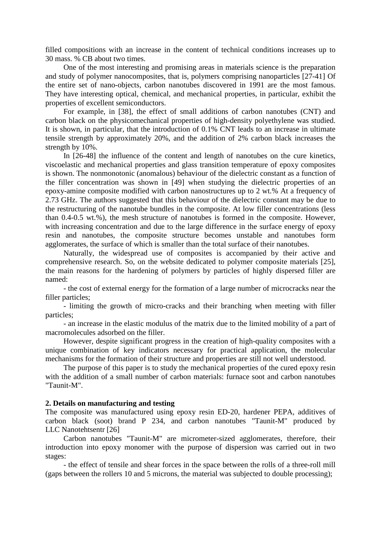filled compositions with an increase in the content of technical conditions increases up to 30 mass. % CB about two times.

One of the most interesting and promising areas in materials science is the preparation and study of polymer nanocomposites, that is, polymers comprising nanoparticles [27-41] Of the entire set of nano-objects, carbon nanotubes discovered in 1991 are the most famous. They have interesting optical, chemical, and mechanical properties, in particular, exhibit the properties of excellent semiconductors.

For example, in [38], the effect of small additions of carbon nanotubes (CNT) and carbon black on the physicomechanical properties of high-density polyethylene was studied. It is shown, in particular, that the introduction of 0.1% CNT leads to an increase in ultimate tensile strength by approximately 20%, and the addition of 2% carbon black increases the strength by 10%.

In [26-48] the influence of the content and length of nanotubes on the cure kinetics, viscoelastic and mechanical properties and glass transition temperature of epoxy composites is shown. The nonmonotonic (anomalous) behaviour of the dielectric constant as a function of the filler concentration was shown in [49] when studying the dielectric properties of an epoxy-amine composite modified with carbon nanostructures up to 2 wt.% At a frequency of 2.73 GHz. The authors suggested that this behaviour of the dielectric constant may be due to the restructuring of the nanotube bundles in the composite. At low filler concentrations (less than 0.4-0.5 wt.%), the mesh structure of nanotubes is formed in the composite. However, with increasing concentration and due to the large difference in the surface energy of epoxy resin and nanotubes, the composite structure becomes unstable and nanotubes form agglomerates, the surface of which is smaller than the total surface of their nanotubes.

Naturally, the widespread use of composites is accompanied by their active and comprehensive research. So, on the website dedicated to polymer composite materials [25], the main reasons for the hardening of polymers by particles of highly dispersed filler are named:

- the cost of external energy for the formation of a large number of microcracks near the filler particles;

- limiting the growth of micro-cracks and their branching when meeting with filler particles;

- an increase in the elastic modulus of the matrix due to the limited mobility of a part of macromolecules adsorbed on the filler.

However, despite significant progress in the creation of high-quality composites with a unique combination of key indicators necessary for practical application, the molecular mechanisms for the formation of their structure and properties are still not well understood.

The purpose of this paper is to study the mechanical properties of the cured epoxy resin with the addition of a small number of carbon materials: furnace soot and carbon nanotubes "Taunit-M".

#### **2. Details on manufacturing and testing**

The composite was manufactured using epoxy resin ED-20, hardener PEPA, additives of carbon black (soot) brand P 234, and carbon nanotubes "Taunit-M" produced by LLC Nanotehtsentr [26]

Carbon nanotubes "Taunit-M" are micrometer-sized agglomerates, therefore, their introduction into epoxy monomer with the purpose of dispersion was carried out in two stages:

- the effect of tensile and shear forces in the space between the rolls of a three-roll mill (gaps between the rollers 10 and 5 microns, the material was subjected to double processing);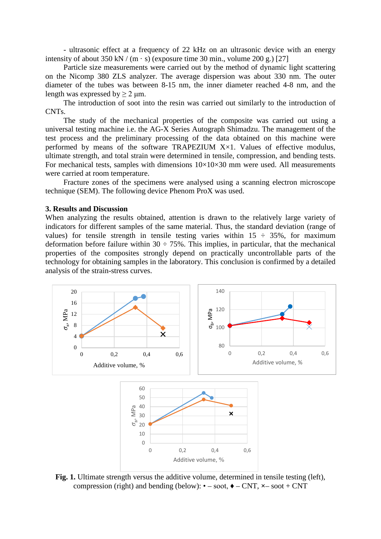- ultrasonic effect at a frequency of 22 kHz on an ultrasonic device with an energy intensity of about 350 kN / (m  $\cdot$  s) (exposure time 30 min., volume 200 g.) [27]

Particle size measurements were carried out by the method of dynamic light scattering on the Nicomp 380 ZLS analyzer. The average dispersion was about 330 nm. The outer diameter of the tubes was between 8-15 nm, the inner diameter reached 4-8 nm, and the length was expressed by  $> 2 \mu m$ .

The introduction of soot into the resin was carried out similarly to the introduction of CNTs.

The study of the mechanical properties of the composite was carried out using a universal testing machine i.e. the AG-X Series Autograph Shimadzu. The management of the test process and the preliminary processing of the data obtained on this machine were performed by means of the software TRAPEZIUM X×1. Values of effective modulus, ultimate strength, and total strain were determined in tensile, compression, and bending tests. For mechanical tests, samples with dimensions  $10\times10\times30$  mm were used. All measurements were carried at room temperature.

Fracture zones of the specimens were analysed using a scanning electron microscope technique (SEM). The following device Phenom ProX was used.

#### **3. Results and Discussion**

When analyzing the results obtained, attention is drawn to the relatively large variety of indicators for different samples of the same material. Thus, the standard deviation (range of values) for tensile strength in tensile testing varies within  $15 \div 35\%$ , for maximum deformation before failure within  $30 \div 75\%$ . This implies, in particular, that the mechanical properties of the composites strongly depend on practically uncontrollable parts of the technology for obtaining samples in the laboratory. This conclusion is confirmed by a detailed analysis of the strain-stress curves.



Fig. 1. Ultimate strength versus the additive volume, determined in tensile testing (left), compression (right) and bending (below):  $\bullet$  – soot,  $\bullet$  – CNT,  $\times$  – soot + CNT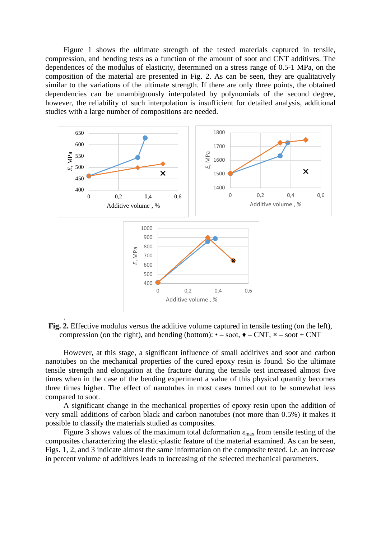Mechanical properties of epoxy resin with additives soot and nanotubes 23

Figure 1 shows the ultimate strength of the tested materials captured in tensile, compression, and bending tests as a function of the amount of soot and CNT additives. The dependences of the modulus of elasticity, determined on a stress range of 0.5-1 MPa, on the composition of the material are presented in Fig. 2. As can be seen, they are qualitatively similar to the variations of the ultimate strength. If there are only three points, the obtained dependencies can be unambiguously interpolated by polynomials of the second degree, however, the reliability of such interpolation is insufficient for detailed analysis, additional studies with a large number of compositions are needed.



**Fig. 2.** Effective modulus versus the additive volume captured in tensile testing (on the left), compression (on the right), and bending (bottom):  $\bullet$  – soot,  $\bullet$  – CNT,  $\times$  – soot + CNT

However, at this stage, a significant influence of small additives and soot and carbon nanotubes on the mechanical properties of the cured epoxy resin is found. So the ultimate tensile strength and elongation at the fracture during the tensile test increased almost five times when in the case of the bending experiment a value of this physical quantity becomes three times higher. The effect of nanotubes in most cases turned out to be somewhat less compared to soot.

A significant change in the mechanical properties of epoxy resin upon the addition of very small additions of carbon black and carbon nanotubes (not more than 0.5%) it makes it possible to classify the materials studied as composites.

Figure 3 shows values of the maximum total deformation  $\varepsilon_{\text{max}}$  from tensile testing of the composites characterizing the elastic-plastic feature of the material examined. As can be seen, Figs. 1, 2, and 3 indicate almost the same information on the composite tested. i.e. an increase in percent volume of additives leads to increasing of the selected mechanical parameters.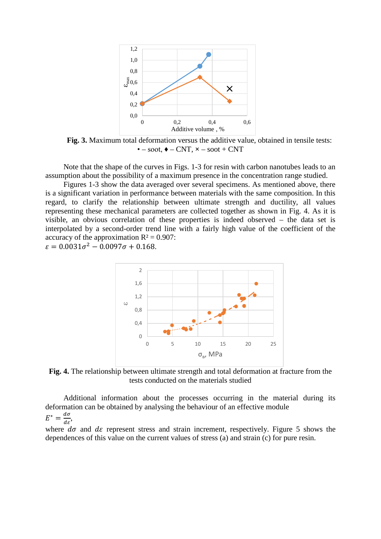

**Fig. 3.** Maximum total deformation versus the additive value, obtained in tensile tests:  $\bullet$  – soot,  $\bullet$  – CNT,  $\times$  – soot + CNT

Note that the shape of the curves in Figs. 1-3 for resin with carbon nanotubes leads to an assumption about the possibility of a maximum presence in the concentration range studied.

Figures 1-3 show the data averaged over several specimens. As mentioned above, there is a significant variation in performance between materials with the same composition. In this regard, to clarify the relationship between ultimate strength and ductility, all values representing these mechanical parameters are collected together as shown in Fig. 4. As it is visible, an obvious correlation of these properties is indeed observed – the data set is interpolated by a second-order trend line with a fairly high value of the coefficient of the accuracy of the approximation  $R^2 = 0.907$ :

 $\varepsilon = 0.0031\sigma^2 - 0.0097\sigma + 0.168.$ 



**Fig. 4.** The relationship between ultimate strength and total deformation at fracture from the tests conducted on the materials studied

Additional information about the processes occurring in the material during its deformation can be obtained by analysing the behaviour of an effective module  $E^* = \frac{d\sigma}{d\varepsilon}$ ,

where  $d\sigma$  and  $d\varepsilon$  represent stress and strain increment, respectively. Figure 5 shows the dependences of this value on the current values of stress (a) and strain (c) for pure resin.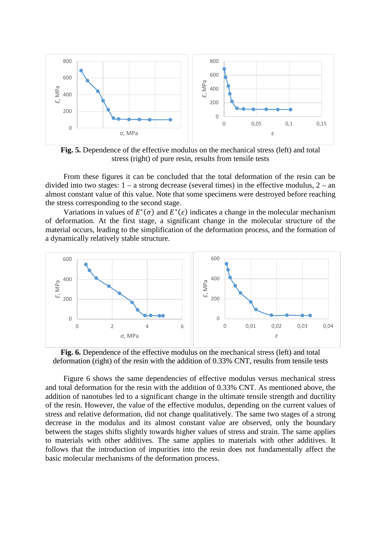Mechanical properties of epoxy resin with additives soot and nanotubes 25



**Fig. 5.** Dependence of the effective modulus on the mechanical stress (left) and total stress (right) of pure resin, results from tensile tests

From these figures it can be concluded that the total deformation of the resin can be divided into two stages:  $1 - a$  strong decrease (several times) in the effective modulus,  $2 - an$ almost constant value of this value. Note that some specimens were destroyed before reaching the stress corresponding to the second stage.

Variations in values of  $E^*(\sigma)$  and  $E^*(\varepsilon)$  indicates a change in the molecular mechanism of deformation. At the first stage, a significant change in the molecular structure of the material occurs, leading to the simplification of the deformation process, and the formation of a dynamically relatively stable structure.



**Fig. 6.** Dependence of the effective modulus on the mechanical stress (left) and total deformation (right) of the resin with the addition of 0.33% CNT, results from tensile tests

Figure 6 shows the same dependencies of effective modulus versus mechanical stress and total deformation for the resin with the addition of 0.33% CNT. As mentioned above, the addition of nanotubes led to a significant change in the ultimate tensile strength and ductility of the resin. However, the value of the effective modulus, depending on the current values of stress and relative deformation, did not change qualitatively. The same two stages of a strong decrease in the modulus and its almost constant value are observed, only the boundary between the stages shifts slightly towards higher values of stress and strain. The same applies to materials with other additives. The same applies to materials with other additives. It follows that the introduction of impurities into the resin does not fundamentally affect the basic molecular mechanisms of the deformation process.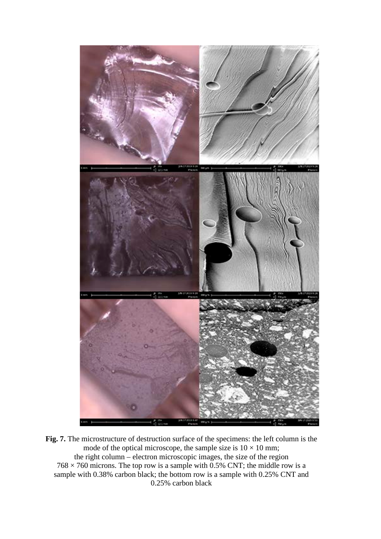

**Fig. 7.** The microstructure of destruction surface of the specimens: the left column is the mode of the optical microscope, the sample size is  $10 \times 10$  mm; the right column – electron microscopic images, the size of the region  $768 \times 760$  microns. The top row is a sample with 0.5% CNT; the middle row is a sample with 0.38% carbon black; the bottom row is a sample with 0.25% CNT and 0.25% carbon black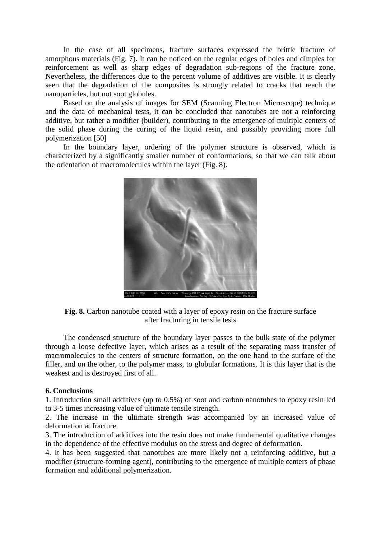Mechanical properties of epoxy resin with additives soot and nanotubes 27

In the case of all specimens, fracture surfaces expressed the brittle fracture of amorphous materials (Fig. 7). It can be noticed on the regular edges of holes and dimples for reinforcement as well as sharp edges of degradation sub-regions of the fracture zone. Nevertheless, the differences due to the percent volume of additives are visible. It is clearly seen that the degradation of the composites is strongly related to cracks that reach the nanoparticles, but not soot globules.

Based on the analysis of images for SEM (Scanning Electron Microscope) technique and the data of mechanical tests, it can be concluded that nanotubes are not a reinforcing additive, but rather a modifier (builder), contributing to the emergence of multiple centers of the solid phase during the curing of the liquid resin, and possibly providing more full polymerization [50]

In the boundary layer, ordering of the polymer structure is observed, which is characterized by a significantly smaller number of conformations, so that we can talk about the orientation of macromolecules within the layer (Fig. 8).



**Fig. 8.** Carbon nanotube coated with a layer of epoxy resin on the fracture surface after fracturing in tensile tests

The condensed structure of the boundary layer passes to the bulk state of the polymer through a loose defective layer, which arises as a result of the separating mass transfer of macromolecules to the centers of structure formation, on the one hand to the surface of the filler, and on the other, to the polymer mass, to globular formations. It is this layer that is the weakest and is destroyed first of all.

#### **6. Conclusions**

1. Introduction small additives (up to 0.5%) of soot and carbon nanotubes to epoxy resin led to 3-5 times increasing value of ultimate tensile strength.

2. The increase in the ultimate strength was accompanied by an increased value of deformation at fracture.

3. The introduction of additives into the resin does not make fundamental qualitative changes in the dependence of the effective modulus on the stress and degree of deformation.

4. It has been suggested that nanotubes are more likely not a reinforcing additive, but a modifier (structure-forming agent), contributing to the emergence of multiple centers of phase formation and additional polymerization.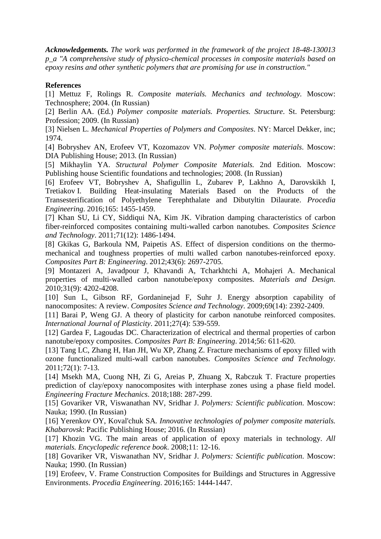*Acknowledgements. The work was performed in the framework of the project 18-48-130013 p\_a "A comprehensive study of physico-chemical processes in composite materials based on epoxy resins and other synthetic polymers that are promising for use in construction."* 

### **References**

[1] Mettuz F, Rolings R. *Composite materials. Mechanics and technology.* Moscow: Technosphere; 2004. (In Russian)

[2] Berlin AA. (Ed.) *Polymer composite materials. Properties. Structure*. St. Petersburg: Profession; 2009. (In Russian)

[3] Nielsen L. *Mechanical Properties of Polymers and Composites*. NY: Marcel Dekker, inc; 1974.

[4] Bobryshev AN, Erofeev VT, Kozomazov VN. *Polymer composite materials*. Moscow: DIA Publishing House; 2013. (In Russian)

[5] Mikhaylin YA. *Structural Polymer Composite Materials.* 2nd Edition. Moscow: Publishing house Scientific foundations and technologies; 2008. (In Russian)

[6] Erofeev VT, Bobryshev A, Shafigullin L, Zubarev P, Lakhno A, Darovskikh I, Tretiakov I. Building Heat-insulating Materials Based on the Products of the Transesterification of Polyethylene Terephthalate and Dibutyltin Dilaurate. *Procedia Engineering*. 2016;165: 1455-1459.

[7] Khan SU, Li CY, Siddiqui NA, Kim JK. Vibration damping characteristics of carbon fiber-reinforced composites containing multi-walled carbon nanotubes. *Composites Science and Technology*. 2011;71(12): 1486-1494.

[8] Gkikas G, Barkoula NM, Paipetis AS. Effect of dispersion conditions on the thermomechanical and toughness properties of multi walled carbon nanotubes-reinforced epoxy. *Composites Part B: Engineering*. 2012;43(6): 2697-2705.

[9] Montazeri A, Javadpour J, Khavandi A, Tcharkhtchi A, Mohajeri A. Mechanical properties of multi-walled carbon nanotube/epoxy composites. *Materials and Design*. 2010;31(9): 4202-4208.

[10] Sun L, Gibson RF, Gordaninejad F, Suhr J. Energy absorption capability of nanocomposites: A review. *Composites Science and Technology*. 2009;69(14): 2392-2409.

[11] Barai P, Weng GJ. A theory of plasticity for carbon nanotube reinforced composites. *International Journal of Plasticity*. 2011;27(4): 539-559.

[12] Gardea F, Lagoudas DC. Characterization of electrical and thermal properties of carbon nanotube/epoxy composites. *Composites Part B: Engineering*. 2014;56: 611-620.

[13] Tang LC, Zhang H, Han JH, Wu XP, Zhang Z. Fracture mechanisms of epoxy filled with ozone functionalized multi-wall carbon nanotubes. *Composites Science and Technology*. 2011;72(1): 7-13.

[14] Msekh MA, Cuong NH, Zi G, Areias P, Zhuang X, Rabczuk T. Fracture properties prediction of clay/epoxy nanocomposites with interphase zones using a phase field model. *Engineering Fracture Mechanics*. 2018;188: 287-299.

[15] Govariker VR, Viswanathan NV, Sridhar J. *Polymers: Scientific publication*. Moscow: Nauka; 1990. (In Russian)

[16] Yerenkov OY, Koval'chuk SA*. Innovative technologies of polymer composite materials. Khabarovsk*: Pacific Publishing House; 2016. (In Russian)

[17] Khozin VG. The main areas of application of epoxy materials in technology. *All materials. Encyclopedic reference book*. 2008;11: 12-16.

[18] Govariker VR, Viswanathan NV, Sridhar J. *Polymers: Scientific publication*. Moscow: Nauka; 1990. (In Russian)

[19] Erofeev, V. Frame Construction Composites for Buildings and Structures in Aggressive Environments. *Procedia Engineering*. 2016;165: 1444-1447.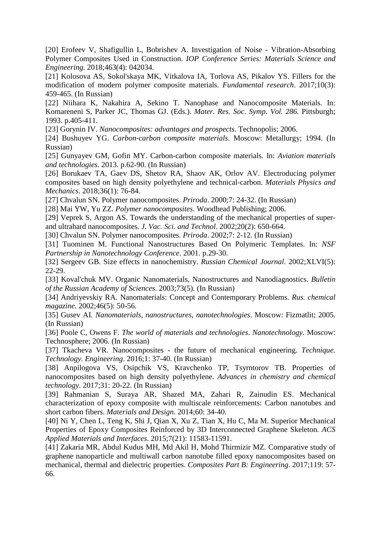[20] Erofeev V, Shafigullin L, Bobrishev A. Investigation of Noise - Vibration-Absorbing Polymer Composites Used in Construction. *IOP Conference Series: Materials Science and Engineering*. 2018;463(4): 042034.

[21] Kolosova AS, Sokol'skaya MK, Vitkalova IA, Torlova AS, Pikalov YS. Fillers for the modification of modern polymer composite materials. *Fundamental research*. 2017;10(3): 459-465. (In Russian)

[22] Niihara K, Nakahira A, Sekino T. Nanophase and Nanocomposite Materials. In: Komareneni S, Parker JC, Thomas GJ. (Eds.). *Mater. Res. Soc. Symp*. *Vol. 286.* Pittsburgh; 1993. p.405-411.

[23] Gorynin IV. *Nanocomposites: advantages and prospects*. Technopolis; 2006.

[24] Bushuyev YG. *Carbon-carbon composite materials*. Moscow: Metallurgy; 1994. (In Russian)

[25] Gunyayev GM, Gofin MY. Carbon-carbon composite materials. In: *Aviation materials and technologies*. 2013. p.62-90. (In Russian)

[26] Borukaev TA, Gaev DS, Shetov RA, Shaov AK, Orlov AV. Electroducing polymer composites based on high density polyethylene and technical-carbon. *Materials Physics and Mechanics*. 2018;36(1): 76-84.

[27] Chvalun SN. Polymer nanocomposites. *Priroda*. 2000;7: 24-32. (In Russian)

[28] Mai YW, Yu ZZ. *Polymer nanocomposites*. Woodhead Publishing; 2006.

[29] Veprek S, Argon AS. Towards the understanding of the mechanical properties of superand ultrahard nanocomposites. *J. Vac. Sci. and Technol*. 2002;20(2): 650-664.

[30] Chvalun SN. Polymer nanocomposites. *Priroda*. 2002;7: 2-12. (In Russian)

[31] Tuominen M. Functional Nanostructures Based On Polymeric Templates. In: *NSF Partnership in Nanotechnology Conference*. 2001. p.29-30.

[32] Sergeev GB. Size effects in nanochemistry. *Russian Chemical Journal*. 2002;XLVI(5): 22-29.

[33] Koval'chuk MV. Organic Nanomaterials, Nanostructures and Nanodiagnostics. *Bulletin of the Russian Academy of Sciences*. 2003;73(5). (In Russian)

[34] Andriyevskiy RA. Nanomaterials: Concept and Contemporary Problems. *Rus. chemical magazine*. 2002;46(5): 50-56.

[35] Gusev AI. *Nanomaterials, nanostructures, nanotechnologies*. Moscow: Fizmatlit; 2005. (In Russian)

[36] Poole C, Owens F. *The world of materials and technologies*. *Nanotechnology.* Moscow: Technosphere; 2006. (In Russian)

[37] Tkacheva VR. Nanocomposites - the future of mechanical engineering. *Technique. Technology. Engineering*. 2016;1: 37-40. (In Russian)

[38] Anpilogova VS, Osipchik VS, Kravchenko TP, Tsyrntorov TB. Properties of nanocomposites based on high density polyethylene. *Advances in chemistry and chemical technology*. 2017;31: 20-22. (In Russian)

[39] Rahmanian S, Suraya AR, Shazed MA, Zahari R, Zainudin ES. Mechanical characterization of epoxy composite with multiscale reinforcements: Carbon nanotubes and short carbon fibers. *Materials and Design*. 2014;60: 34-40.

[40] Ni Y, Chen L, Teng K, Shi J, Qian X, Xu Z, Tian X, Hu C, Ma M. Superior Mechanical Properties of Epoxy Composites Reinforced by 3D Interconnected Graphene Skeleton. *ACS Applied Materials and Interfaces*. 2015;7(21): 11583-11591.

[41] Zakaria MR, Abdul Kudus MH, Md Akil H, Mohd Thirmizir MZ. Comparative study of graphene nanoparticle and multiwall carbon nanotube filled epoxy nanocomposites based on mechanical, thermal and dielectric properties. *Composites Part B: Engineering*. 2017;119: 57- 66.